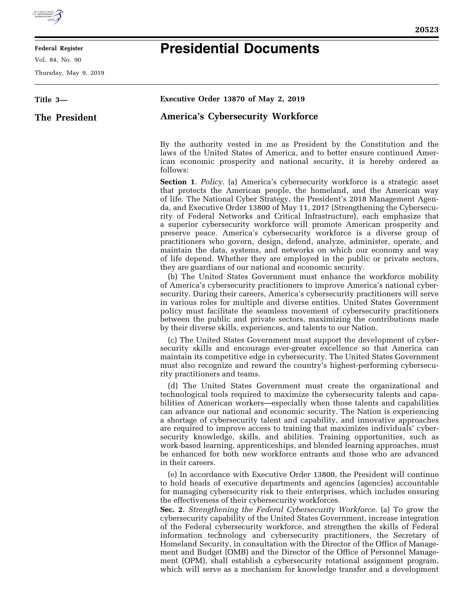

E

## **Federal Register**

Vol. 84, No. 90

Thursday, May 9, 2019

## **Presidential Documents**

| Title 3-      | Executive Order 13870 of May 2, 2019                                                                                                                                                                                                                                                                                                                                                                                                                                                                                                                                                                                                                                                                                                                                                                                                                                                                                                                                                                                                                                                                                                                                                                                                                                                                                                                                                                                             |
|---------------|----------------------------------------------------------------------------------------------------------------------------------------------------------------------------------------------------------------------------------------------------------------------------------------------------------------------------------------------------------------------------------------------------------------------------------------------------------------------------------------------------------------------------------------------------------------------------------------------------------------------------------------------------------------------------------------------------------------------------------------------------------------------------------------------------------------------------------------------------------------------------------------------------------------------------------------------------------------------------------------------------------------------------------------------------------------------------------------------------------------------------------------------------------------------------------------------------------------------------------------------------------------------------------------------------------------------------------------------------------------------------------------------------------------------------------|
| The President | <b>America's Cybersecurity Workforce</b>                                                                                                                                                                                                                                                                                                                                                                                                                                                                                                                                                                                                                                                                                                                                                                                                                                                                                                                                                                                                                                                                                                                                                                                                                                                                                                                                                                                         |
|               | By the authority vested in me as President by the Constitution and the<br>laws of the United States of America, and to better ensure continued Amer-<br>ican economic prosperity and national security, it is hereby ordered as<br>follows:                                                                                                                                                                                                                                                                                                                                                                                                                                                                                                                                                                                                                                                                                                                                                                                                                                                                                                                                                                                                                                                                                                                                                                                      |
|               | <b>Section 1.</b> Policy. (a) America's cybersecurity workforce is a strategic asset<br>that protects the American people, the homeland, and the American way<br>of life. The National Cyber Strategy, the President's 2018 Management Agen-<br>da, and Executive Order 13800 of May 11, 2017 (Strengthening the Cybersecu-<br>rity of Federal Networks and Critical Infrastructure), each emphasize that<br>a superior cybersecurity workforce will promote American prosperity and<br>preserve peace. America's cybersecurity workforce is a diverse group of<br>practitioners who govern, design, defend, analyze, administer, operate, and<br>maintain the data, systems, and networks on which our economy and way<br>of life depend. Whether they are employed in the public or private sectors,<br>they are guardians of our national and economic security.<br>(b) The United States Government must enhance the workforce mobility<br>of America's cybersecurity practitioners to improve America's national cyber-<br>security. During their careers, America's cybersecurity practitioners will serve<br>in various roles for multiple and diverse entities. United States Government<br>policy must facilitate the seamless movement of cybersecurity practitioners<br>between the public and private sectors, maximizing the contributions made<br>by their diverse skills, experiences, and talents to our Nation. |
|               | (c) The United States Government must support the development of cyber-<br>security skills and encourage ever-greater excellence so that America can<br>maintain its competitive edge in cybersecurity. The United States Government<br>must also recognize and reward the country's highest-performing cybersecu-<br>rity practitioners and teams.                                                                                                                                                                                                                                                                                                                                                                                                                                                                                                                                                                                                                                                                                                                                                                                                                                                                                                                                                                                                                                                                              |
|               | (d) The United States Government must create the organizational and<br>technological tools required to maximize the cybersecurity talents and capa-<br>bilities of American workers—especially when those talents and capabilities<br>can advance our national and economic security. The Nation is experiencing<br>a shortage of cybersecurity talent and capability, and innovative approaches<br>are required to improve access to training that maximizes individuals' cyber-<br>security knowledge, skills, and abilities. Training opportunities, such as<br>work-based learning, apprenticeships, and blended learning approaches, must<br>be enhanced for both new workforce entrants and those who are advanced<br>in their careers.                                                                                                                                                                                                                                                                                                                                                                                                                                                                                                                                                                                                                                                                                    |
|               | (e) In accordance with Executive Order 13800, the President will continue<br>to hold heads of executive departments and agencies (agencies) accountable<br>for managing cybersecurity risk to their enterprises, which includes ensuring<br>the effectiveness of their cybersecurity workforces.<br>Sec. 2. Strengthening the Federal Cybersecurity Workforce. (a) To grow the<br>cybersecurity capability of the United States Government, increase integration<br>of the Federal cybersecurity workforce, and strengthen the skills of Federal<br>information technology and cybersecurity practitioners, the Secretary of<br>Homeland Security, in consultation with the Director of the Office of Manage-<br>ment and Budget (OMB) and the Director of the Office of Personnel Manage-<br>ment (OPM), shall establish a cybersecurity rotational assignment program,<br>which will serve as a mechanism for knowledge transfer and a development                                                                                                                                                                                                                                                                                                                                                                                                                                                                             |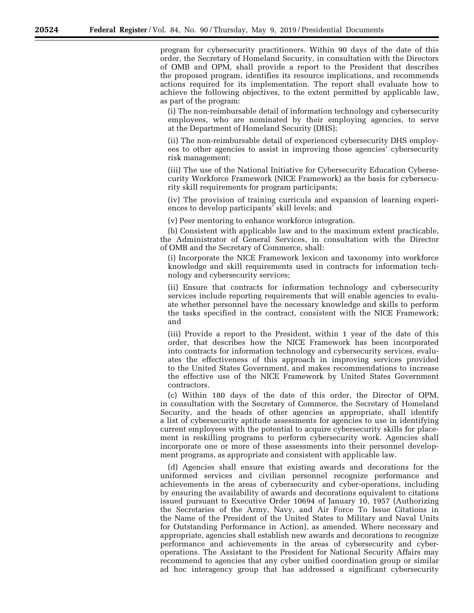program for cybersecurity practitioners. Within 90 days of the date of this order, the Secretary of Homeland Security, in consultation with the Directors of OMB and OPM, shall provide a report to the President that describes the proposed program, identifies its resource implications, and recommends actions required for its implementation. The report shall evaluate how to achieve the following objectives, to the extent permitted by applicable law, as part of the program:

(i) The non-reimbursable detail of information technology and cybersecurity employees, who are nominated by their employing agencies, to serve at the Department of Homeland Security (DHS);

(ii) The non-reimbursable detail of experienced cybersecurity DHS employees to other agencies to assist in improving those agencies' cybersecurity risk management;

(iii) The use of the National Initiative for Cybersecurity Education Cybersecurity Workforce Framework (NICE Framework) as the basis for cybersecurity skill requirements for program participants;

(iv) The provision of training curricula and expansion of learning experiences to develop participants' skill levels; and

(v) Peer mentoring to enhance workforce integration.

(b) Consistent with applicable law and to the maximum extent practicable, the Administrator of General Services, in consultation with the Director of OMB and the Secretary of Commerce, shall:

(i) Incorporate the NICE Framework lexicon and taxonomy into workforce knowledge and skill requirements used in contracts for information technology and cybersecurity services;

(ii) Ensure that contracts for information technology and cybersecurity services include reporting requirements that will enable agencies to evaluate whether personnel have the necessary knowledge and skills to perform the tasks specified in the contract, consistent with the NICE Framework; and

(iii) Provide a report to the President, within 1 year of the date of this order, that describes how the NICE Framework has been incorporated into contracts for information technology and cybersecurity services, evaluates the effectiveness of this approach in improving services provided to the United States Government, and makes recommendations to increase the effective use of the NICE Framework by United States Government contractors.

(c) Within 180 days of the date of this order, the Director of OPM, in consultation with the Secretary of Commerce, the Secretary of Homeland Security, and the heads of other agencies as appropriate, shall identify a list of cybersecurity aptitude assessments for agencies to use in identifying current employees with the potential to acquire cybersecurity skills for placement in reskilling programs to perform cybersecurity work. Agencies shall incorporate one or more of these assessments into their personnel development programs, as appropriate and consistent with applicable law.

(d) Agencies shall ensure that existing awards and decorations for the uniformed services and civilian personnel recognize performance and achievements in the areas of cybersecurity and cyber-operations, including by ensuring the availability of awards and decorations equivalent to citations issued pursuant to Executive Order 10694 of January 10, 1957 (Authorizing the Secretaries of the Army, Navy, and Air Force To Issue Citations in the Name of the President of the United States to Military and Naval Units for Outstanding Performance in Action), as amended. Where necessary and appropriate, agencies shall establish new awards and decorations to recognize performance and achievements in the areas of cybersecurity and cyberoperations. The Assistant to the President for National Security Affairs may recommend to agencies that any cyber unified coordination group or similar ad hoc interagency group that has addressed a significant cybersecurity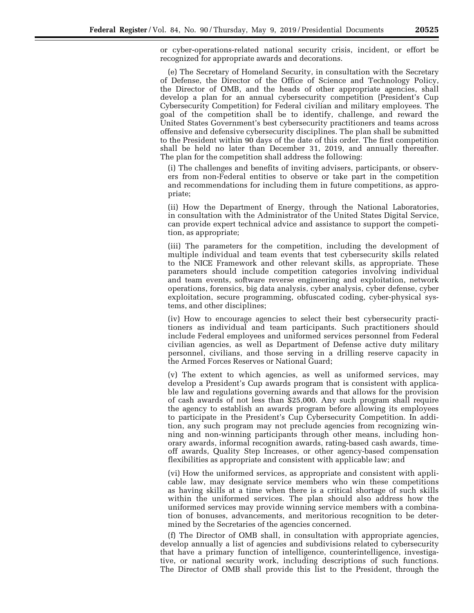or cyber-operations-related national security crisis, incident, or effort be recognized for appropriate awards and decorations.

(e) The Secretary of Homeland Security, in consultation with the Secretary of Defense, the Director of the Office of Science and Technology Policy, the Director of OMB, and the heads of other appropriate agencies, shall develop a plan for an annual cybersecurity competition (President's Cup Cybersecurity Competition) for Federal civilian and military employees. The goal of the competition shall be to identify, challenge, and reward the United States Government's best cybersecurity practitioners and teams across offensive and defensive cybersecurity disciplines. The plan shall be submitted to the President within 90 days of the date of this order. The first competition shall be held no later than December 31, 2019, and annually thereafter. The plan for the competition shall address the following:

(i) The challenges and benefits of inviting advisers, participants, or observers from non-Federal entities to observe or take part in the competition and recommendations for including them in future competitions, as appropriate;

(ii) How the Department of Energy, through the National Laboratories, in consultation with the Administrator of the United States Digital Service, can provide expert technical advice and assistance to support the competition, as appropriate;

(iii) The parameters for the competition, including the development of multiple individual and team events that test cybersecurity skills related to the NICE Framework and other relevant skills, as appropriate. These parameters should include competition categories involving individual and team events, software reverse engineering and exploitation, network operations, forensics, big data analysis, cyber analysis, cyber defense, cyber exploitation, secure programming, obfuscated coding, cyber-physical systems, and other disciplines;

(iv) How to encourage agencies to select their best cybersecurity practitioners as individual and team participants. Such practitioners should include Federal employees and uniformed services personnel from Federal civilian agencies, as well as Department of Defense active duty military personnel, civilians, and those serving in a drilling reserve capacity in the Armed Forces Reserves or National Guard;

(v) The extent to which agencies, as well as uniformed services, may develop a President's Cup awards program that is consistent with applicable law and regulations governing awards and that allows for the provision of cash awards of not less than \$25,000. Any such program shall require the agency to establish an awards program before allowing its employees to participate in the President's Cup Cybersecurity Competition. In addition, any such program may not preclude agencies from recognizing winning and non-winning participants through other means, including honorary awards, informal recognition awards, rating-based cash awards, timeoff awards, Quality Step Increases, or other agency-based compensation flexibilities as appropriate and consistent with applicable law; and

(vi) How the uniformed services, as appropriate and consistent with applicable law, may designate service members who win these competitions as having skills at a time when there is a critical shortage of such skills within the uniformed services. The plan should also address how the uniformed services may provide winning service members with a combination of bonuses, advancements, and meritorious recognition to be determined by the Secretaries of the agencies concerned.

(f) The Director of OMB shall, in consultation with appropriate agencies, develop annually a list of agencies and subdivisions related to cybersecurity that have a primary function of intelligence, counterintelligence, investigative, or national security work, including descriptions of such functions. The Director of OMB shall provide this list to the President, through the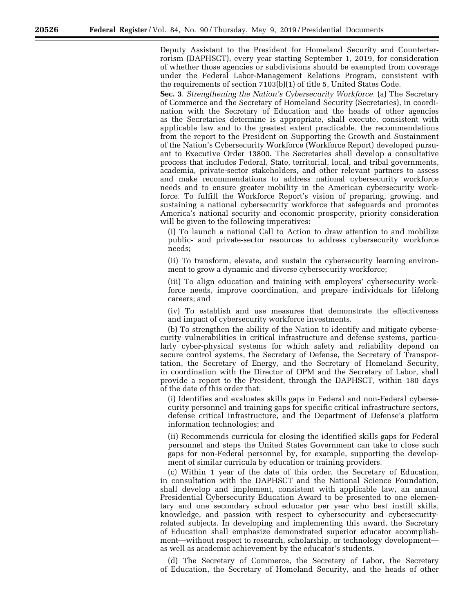Deputy Assistant to the President for Homeland Security and Counterterrorism (DAPHSCT), every year starting September 1, 2019, for consideration of whether those agencies or subdivisions should be exempted from coverage under the Federal Labor-Management Relations Program, consistent with the requirements of section 7103(b)(1) of title 5, United States Code.

**Sec. 3**. *Strengthening the Nation's Cybersecurity Workforce.* (a) The Secretary of Commerce and the Secretary of Homeland Security (Secretaries), in coordination with the Secretary of Education and the heads of other agencies as the Secretaries determine is appropriate, shall execute, consistent with applicable law and to the greatest extent practicable, the recommendations from the report to the President on Supporting the Growth and Sustainment of the Nation's Cybersecurity Workforce (Workforce Report) developed pursuant to Executive Order 13800. The Secretaries shall develop a consultative process that includes Federal, State, territorial, local, and tribal governments, academia, private-sector stakeholders, and other relevant partners to assess and make recommendations to address national cybersecurity workforce needs and to ensure greater mobility in the American cybersecurity workforce. To fulfill the Workforce Report's vision of preparing, growing, and sustaining a national cybersecurity workforce that safeguards and promotes America's national security and economic prosperity, priority consideration will be given to the following imperatives:

(i) To launch a national Call to Action to draw attention to and mobilize public- and private-sector resources to address cybersecurity workforce needs;

(ii) To transform, elevate, and sustain the cybersecurity learning environment to grow a dynamic and diverse cybersecurity workforce;

(iii) To align education and training with employers' cybersecurity workforce needs, improve coordination, and prepare individuals for lifelong careers; and

(iv) To establish and use measures that demonstrate the effectiveness and impact of cybersecurity workforce investments.

(b) To strengthen the ability of the Nation to identify and mitigate cybersecurity vulnerabilities in critical infrastructure and defense systems, particularly cyber-physical systems for which safety and reliability depend on secure control systems, the Secretary of Defense, the Secretary of Transportation, the Secretary of Energy, and the Secretary of Homeland Security, in coordination with the Director of OPM and the Secretary of Labor, shall provide a report to the President, through the DAPHSCT, within 180 days of the date of this order that:

(i) Identifies and evaluates skills gaps in Federal and non-Federal cybersecurity personnel and training gaps for specific critical infrastructure sectors, defense critical infrastructure, and the Department of Defense's platform information technologies; and

(ii) Recommends curricula for closing the identified skills gaps for Federal personnel and steps the United States Government can take to close such gaps for non-Federal personnel by, for example, supporting the development of similar curricula by education or training providers.

(c) Within 1 year of the date of this order, the Secretary of Education, in consultation with the DAPHSCT and the National Science Foundation, shall develop and implement, consistent with applicable law, an annual Presidential Cybersecurity Education Award to be presented to one elementary and one secondary school educator per year who best instill skills, knowledge, and passion with respect to cybersecurity and cybersecurityrelated subjects. In developing and implementing this award, the Secretary of Education shall emphasize demonstrated superior educator accomplishment—without respect to research, scholarship, or technology development as well as academic achievement by the educator's students.

(d) The Secretary of Commerce, the Secretary of Labor, the Secretary of Education, the Secretary of Homeland Security, and the heads of other